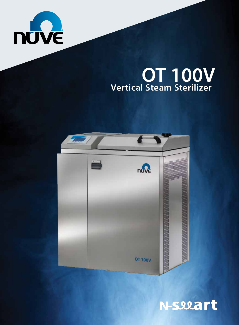

## **Vertical Steam Sterilizer OT 100V**



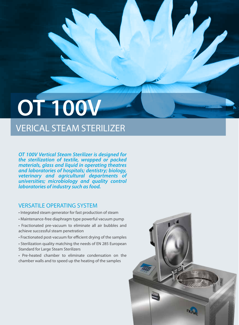# VERICAL STEAM STERILIZER **OT 100V**

*OT 100V Vertical Steam Sterilizer is designed for the sterilization of textile, wrapped or packed materials, glass and liquid in operating theatres and laboratories of hospitals; dentistry; biology, veterinary and agricultural departments of universities; microbiology and quality control laboratories of industry such as food.*

#### VERSATILE OPERATING SYSTEM

- Integrated steam generator for fast production of steam
- Maintenance-free diaphragm type powerful vacuum pump
- Fractionated pre-vacuum to eliminate all air bubbles and achieve successful steam penetration
- Fractionated post-vacuum for efficient drying of the samples • Sterilization quality matching the needs of EN 285 European Standard for Large Steam Sterilizers
- Pre-heated chamber to eliminate condensation on the chamber walls and to speed up the heating of the samples

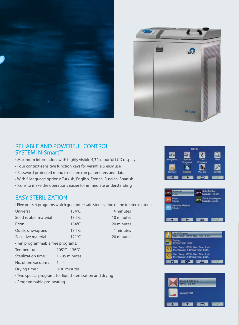



#### RELIABLE AND POWERFUL CONTROL SYSTEM: N-Smart™

- Maximum information with highly visible 4,3'' colourful LCD display
- Four context-sensitive function keys for versatile & easy use
- Password protected menu to secure run parameters and data
- With 5 language options: Turkish, English, French, Russian, Spanish
- Icons to make the operations easier for immediate understanding

#### EASY STERILIZATION

• Five pre-set programs which guarantee safe sterilization of the treated material

4 minutes 10 minutes 20 minutes 4 minutes 20 minutes

| Universal                         | 134°C                                                 |  |  |
|-----------------------------------|-------------------------------------------------------|--|--|
| Solid rubber material             | $134^{\circ}$ C                                       |  |  |
| Prion                             | $134^{\circ}$ C                                       |  |  |
| Quick, unwrapped                  | $134^{\circ}$ C                                       |  |  |
| Sensitive material                | $121^{\circ}$ C                                       |  |  |
| • Ten programmable free programs: |                                                       |  |  |
| Temperature:                      | 105°C - 136°C                                         |  |  |
| Sterilization time :              | 1 - 99 minutes                                        |  |  |
| No. of pre vacuum :               | $1 - 4$                                               |  |  |
| Drying time:                      | 0-30 minutes                                          |  |  |
|                                   | Tue coocial programs for liquid storilization and dru |  |  |

- Two special programs for liquid sterilization and drying
- Programmable pre-heating







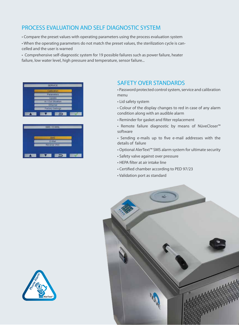## PROCESS EVALUATION AND SELF DIAGNOSTIC SYSTEM

- Compare the preset values with operating parameters using the process evaluation system
- When the operating parameters do not match the preset values, the sterilization cycle is cancelled and the user is warned
- Comprehensive self-diagnostic system for 19 possible failures such as power failure, heater failure, low water level, high pressure and temperature, sensor failure...





#### SAFETY OVER STANDARDS

- Password protected control system, service and calibration menu
- Lid safety system
- Colour of the display changes to red in case of any alarm condition along with an audible alarm
- Reminder for gasket and filter replacement
- Remote failure diagnostic by means of NüveCloser™ software
- Sending e-mails up to five e-mail addresses with the details of failure
- Optional AlerText™ SMS alarm system for ultimate security
- Safety valve against over pressure
- HEPA filter at air intake line
- Certified chamber according to PED 97/23
- Validation port as standard



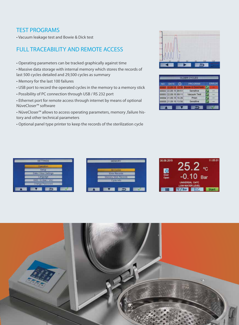### TEST PROGRAMS

• Vacuum leakage test and Bowie & Dick test

## FULL TRACEABILITY AND REMOTE ACCESS

• Operating parameters can be tracked graphically against time

• Massive data storage with internal memory which stores the records of last 500 cycles detailed and 29,500 cycles as summary

- Memory for the last 100 failures
- USB port to record the operated cycles in the memory to a memory stick
- Possibility of PC connection through USB / RS 232 port

• Ethernet port for remote access through internet by means of optional NüveCloser™ software

• NüveCloser™ allows to access operating parameters, memory ,failure history and other technical parameters

• Optional panel type printer to keep the records of the sterilization cycle



| NO DATE              | <b>PROGRAM</b>        | ERROR |
|----------------------|-----------------------|-------|
| 10001 77 09 11       | 16 Rowin & Dick/Helix |       |
| 00002 22.09.15 09:51 | Sensitive             |       |
| 00003 22.09.15 09:11 | Vacuum Test           |       |
| 00004 21.09.15 16:26 | Prion                 | mar.  |
| 00005 21.09.15 13:56 | Sensitive             |       |

| <b>SETTINGS</b>      |
|----------------------|
| <b>Operation</b>     |
| Selup                |
| Date / Hour Settings |
| Language             |
| SMS / E-Mail / VNC   |
| Change Password      |
|                      |